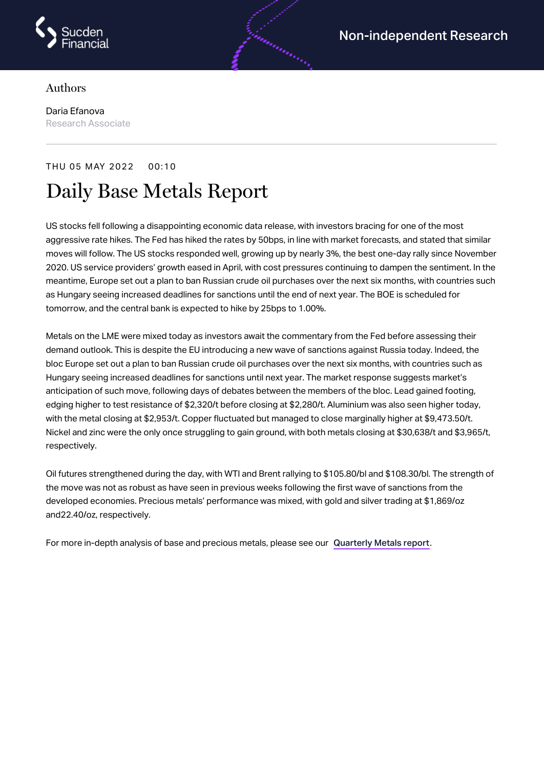

## Authors

Daria Efanova Research Associate

## THU 05 MAY 2022 00:10 Daily Base Metals Report

US stocks fell following a disappointing economic data release, with investors bracing for one of the most aggressive rate hikes. The Fed has hiked the rates by 50bps, in line with market forecasts, and stated that similar moves will follow. The US stocks responded well, growing up by nearly 3%, the best one-day rally since November 2020. US service providers' growth eased in April, with cost pressures continuing to dampen the sentiment. In the meantime, Europe set out a plan to ban Russian crude oil purchases over the next six months, with countries such as Hungary seeing increased deadlines for sanctions until the end of next year. The BOE is scheduled for tomorrow, and the central bank is expected to hike by 25bps to 1.00%.

Metals on the LME were mixed today as investors await the commentary from the Fed before assessing their demand outlook. This is despite the EU introducing a new wave of sanctions against Russia today. Indeed, the bloc Europe set out a plan to ban Russian crude oil purchases over the next six months, with countries such as Hungary seeing increased deadlines for sanctions until next year. The market response suggests market's anticipation of such move, following days of debates between the members of the bloc. Lead gained footing, edging higher to test resistance of \$2,320/t before closing at \$2,280/t. Aluminium was also seen higher today, with the metal closing at \$2,953/t. Copper fluctuated but managed to close marginally higher at \$9,473.50/t. Nickel and zinc were the only once struggling to gain ground, with both metals closing at \$30,638/t and \$3,965/t, respectively.

Oil futures strengthened during the day, with WTI and Brent rallying to \$105.80/bl and \$108.30/bl. The strength of the move was not as robust as have seen in previous weeks following the first wave of sanctions from the developed economies. Precious metals' performance was mixed, with gold and silver trading at \$1,869/oz and22.40/oz, respectively.

For more in-depth analysis of base and precious metals, please see our [Quarterly](https://www.sucdenfinancial.com/en/reports/quarterly-metals/qmr-q1-2022/) Metals report.